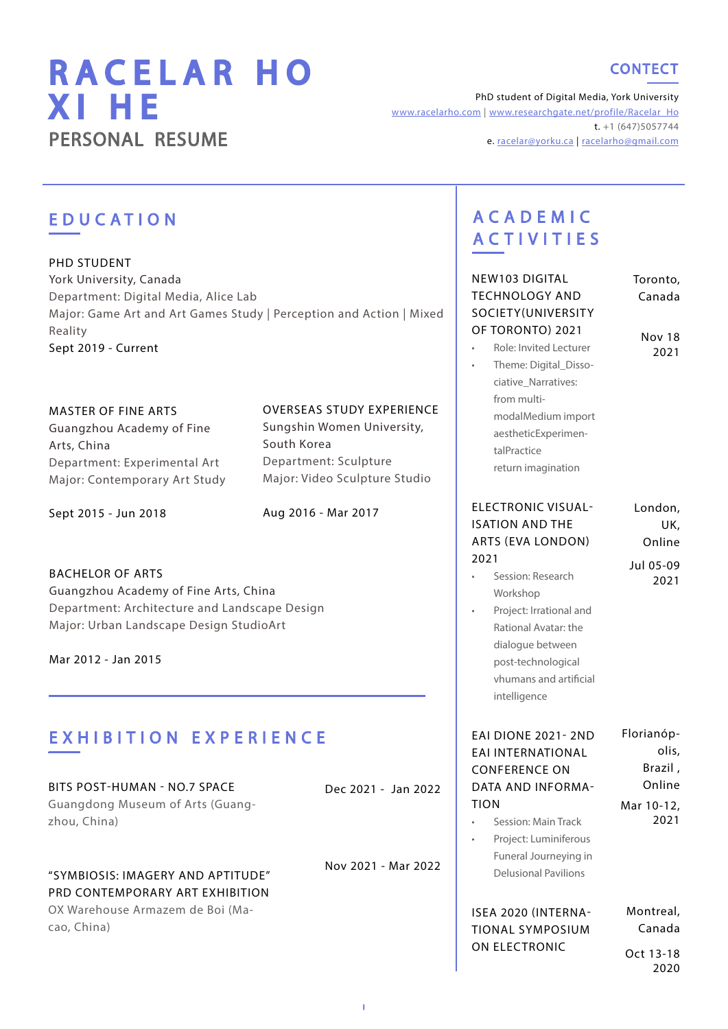# RACELAR HO XI HE PERSONAL RESUME

### **CONTECT**

PhD student of Digital Media, York University [www.racelarho.com](http://www.racelarho.com) | [www.researchgate.net/profile/Racelar\\_Ho](http://www.researchgate.net/profile/Racelar_Ho   )  $t. +1 (647)5057744$ e. [racelar](mailto:racelarho%40163.com%20?subject=)@yorku.ca | [racelarho@gmail.com](mailto:racelarho%40gmail.com%20%20?subject=)

I

| <b>EDUCATION</b>                                                                                                                                                                        |                                                                                                                                                                              | <b>ACADEMIC</b><br><b>ACTIVITIES</b>                                                                                                                        |                                      |
|-----------------------------------------------------------------------------------------------------------------------------------------------------------------------------------------|------------------------------------------------------------------------------------------------------------------------------------------------------------------------------|-------------------------------------------------------------------------------------------------------------------------------------------------------------|--------------------------------------|
| PHD STUDENT<br>York University, Canada<br>Department: Digital Media, Alice Lab<br>Major: Game Art and Art Games Study   Perception and Action   Mixed<br>Reality<br>Sept 2019 - Current |                                                                                                                                                                              | NEW103 DIGITAL<br><b>TECHNOLOGY AND</b><br>SOCIETY(UNIVERSITY<br>OF TORONTO) 2021<br>Role: Invited Lecturer<br>Theme: Digital_Disso-<br>ciative_Narratives: | Toronto,<br>Canada<br>Nov 18<br>2021 |
| <b>MASTER OF FINE ARTS</b><br>Guangzhou Academy of Fine<br>Arts, China<br>Department: Experimental Art<br>Major: Contemporary Art Study                                                 | <b>OVERSEAS STUDY EXPERIENCE</b><br>Sungshin Women University,<br>South Korea<br>Department: Sculpture<br>Major: Video Sculpture Studio                                      | from multi-<br>modalMedium import<br>aestheticExperimen-<br>talPractice<br>return imagination                                                               |                                      |
| Sept 2015 - Jun 2018                                                                                                                                                                    | Aug 2016 - Mar 2017                                                                                                                                                          | <b>ELECTRONIC VISUAL-</b><br><b>ISATION AND THE</b><br>ARTS (EVA LONDON)                                                                                    | London,<br>UK,<br>Online             |
| <b>BACHELOR OF ARTS</b><br>Guangzhou Academy of Fine Arts, China<br>Department: Architecture and Landscape Design<br>Major: Urban Landscape Design StudioArt<br>Mar 2012 - Jan 2015     | 2021<br>Session: Research<br>Workshop<br>Project: Irrational and<br>Rational Avatar: the<br>dialogue between<br>post-technological<br>vhumans and artificial<br>intelligence | Jul 05-09<br>2021                                                                                                                                           |                                      |
| <b>EXHIBITION EXPERIENCE</b>                                                                                                                                                            |                                                                                                                                                                              | <b>EAI DIONE 2021-2ND</b><br>EAI INTERNATIONAL<br><b>CONFERENCE ON</b>                                                                                      | Florianóp-<br>olis,<br>Brazil,       |
| BITS POST-HUMAN - NO.7 SPACE<br>Guangdong Museum of Arts (Guang-<br>zhou, China)                                                                                                        | Dec 2021 - Jan 2022                                                                                                                                                          | DATA AND INFORMA-<br><b>TION</b><br>Session: Main Track<br>$\bullet$<br>Project: Luminiferous                                                               | Online<br>Mar 10-12,<br>2021         |
| "SYMBIOSIS: IMAGERY AND APTITUDE"<br>PRD CONTEMPORARY ART EXHIBITION                                                                                                                    | Nov 2021 - Mar 2022                                                                                                                                                          | Funeral Journeying in<br><b>Delusional Pavilions</b>                                                                                                        |                                      |
| OX Warehouse Armazem de Boi (Ma-<br>cao, China)                                                                                                                                         |                                                                                                                                                                              | ISEA 2020 (INTERNA-<br><b>TIONAL SYMPOSIUM</b><br>ON ELECTRONIC                                                                                             | Montreal,<br>Canada<br>Oct 13-18     |
|                                                                                                                                                                                         |                                                                                                                                                                              |                                                                                                                                                             | 2020                                 |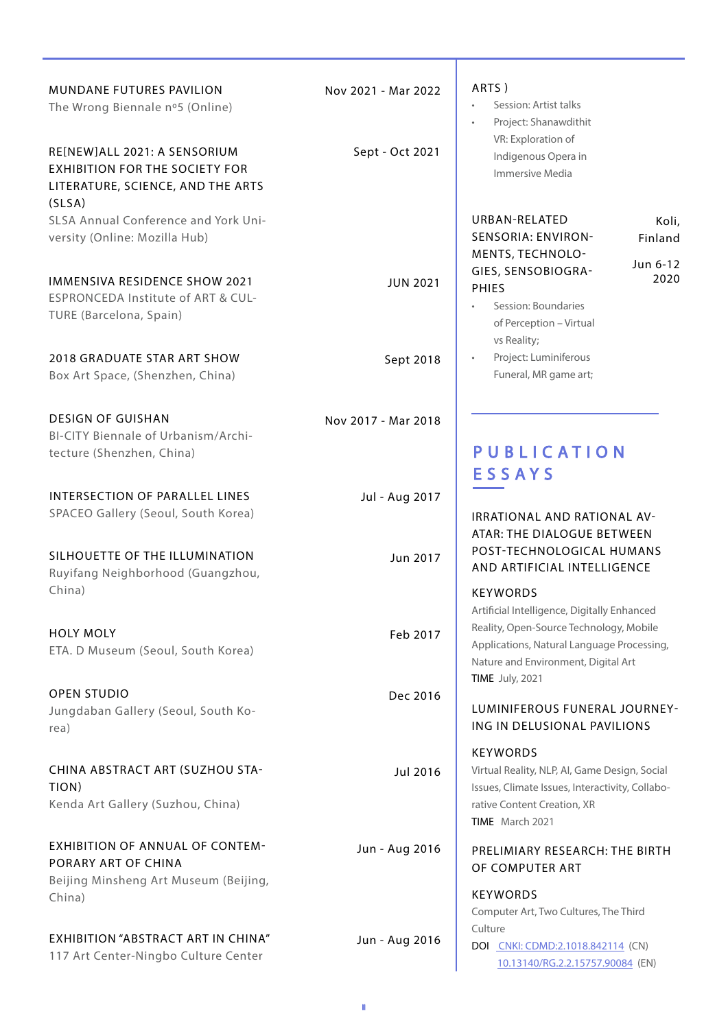| <b>MUNDANE FUTURES PAVILION</b><br>The Wrong Biennale nº5 (Online)                                                                                           | Nov 2021 - Mar 2022 | ART.                                                   |
|--------------------------------------------------------------------------------------------------------------------------------------------------------------|---------------------|--------------------------------------------------------|
| RE[NEW]ALL 2021: A SENSORIUM<br><b>EXHIBITION FOR THE SOCIETY FOR</b><br>LITERATURE, SCIENCE, AND THE ARTS<br>(SLSA)<br>SLSA Annual Conference and York Uni- | Sept - Oct 2021     | URB                                                    |
| versity (Online: Mozilla Hub)                                                                                                                                |                     | <b>SEN</b><br>MEN                                      |
| <b>IMMENSIVA RESIDENCE SHOW 2021</b><br>ESPRONCEDA Institute of ART & CUL-<br>TURE (Barcelona, Spain)                                                        | <b>JUN 2021</b>     | GIES<br>PHIE                                           |
| <b>2018 GRADUATE STAR ART SHOW</b><br>Box Art Space, (Shenzhen, China)                                                                                       | Sept 2018           |                                                        |
| <b>DESIGN OF GUISHAN</b><br>BI-CITY Biennale of Urbanism/Archi-<br>tecture (Shenzhen, China)                                                                 | Nov 2017 - Mar 2018 | Ρl<br>ΕS                                               |
| <b>INTERSECTION OF PARALLEL LINES</b><br>SPACEO Gallery (Seoul, South Korea)                                                                                 | Jul - Aug 2017      | IRRA<br><b>ATA</b>                                     |
| SILHOUETTE OF THE ILLUMINATION<br>Ruyifang Neighborhood (Guangzhou,<br>China)                                                                                | Jun 2017            | POS<br>AND<br><b>KEY</b><br>Artifi                     |
| <b>HOLY MOLY</b><br>ETA. D Museum (Seoul, South Korea)                                                                                                       | Feb 2017            | Realit<br>Appli<br>Natu<br><b>TIME</b>                 |
| <b>OPEN STUDIO</b><br>Jungdaban Gallery (Seoul, South Ko-<br>rea)                                                                                            | Dec 2016            | LUM<br>ING.                                            |
| CHINA ABSTRACT ART (SUZHOU STA-<br>TION)<br>Kenda Art Gallery (Suzhou, China)                                                                                | Jul 2016            | KEY'<br>Virtu<br><i>Issue</i><br>rative<br><b>TIME</b> |
| <b>EXHIBITION OF ANNUAL OF CONTEM-</b><br>PORARY ART OF CHINA<br>Beijing Minsheng Art Museum (Beijing,<br>China)                                             | Jun - Aug 2016      | PREI<br>OF O<br><b>KEY</b>                             |
| <b>EXHIBITION "ABSTRACT ART IN CHINA"</b><br>117 Art Center-Ningbo Culture Center                                                                            | Jun - Aug 2016      | Com<br>Cultu<br>DOI                                    |

 $\mathsf{S}$ )

Session: Artist talks • Project: Shanawdithit VR: Exploration of Indigenous Opera in Immersive Media

### **AN-RELATED** SORIA: ENVIRON-**NTS, TECHNOLO-**S, SENSOBIOGRA-ES.

Koli, Finland

Jun 6-12 2020

- Session: Boundaries of Perception – Virtual vs Reality;
- Project: Luminiferous Funeral, MR game art;

# **JBLICATION SAYS**

**ATIONAL AND RATIONAL AV-R: THE DIALOGUE BETWEEN** T-TECHNOLOGICAL HUMANS D ARTIFICIAL INTELLIGENCE

### WORDS

cial Intelligence, Digitally Enhanced ity, Open-Source Technology, Mobile ications, Natural Language Processing, Ire and Environment, Digital Art July, 2021

### **INIFEROUS FUNERAL JOURNEY-**IN DELUSIONAL PAVILIONS

### **WORDS**

al Reality, NLP, AI, Game Design, Social es, Climate Issues, Interactivity, Collabore Content Creation, XR March 2021

### **LIMIARY RESEARCH: THE BIRTH** COMPUTER ART

**WORDS** Computer Art, Two Cultures, The Third ure [CNKI: CDMD:2.1018.842114]( CNKI: CDMD:2.1018.842114) (CN) [10.13140/RG.2.2.15757.90084](http://10.13140/RG.2.2.15757.90084) (EN)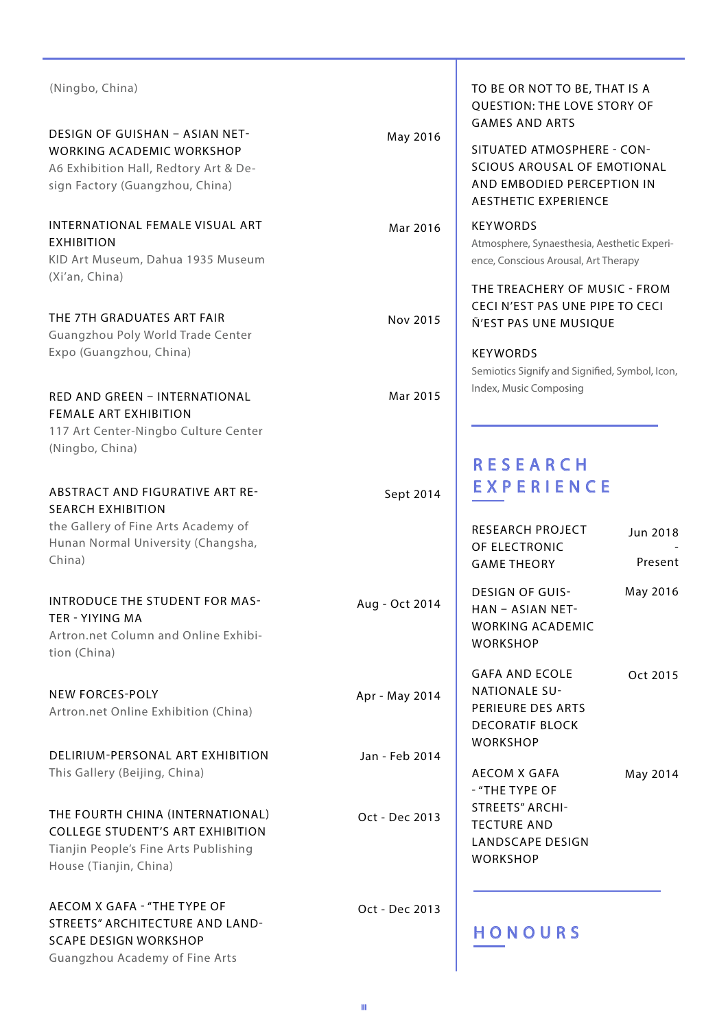| (Ningbo, China)                                                                                                                                       |                | TO BE OR NOT TO BE, THAT IS A<br>QUESTION: THE LOVE STORY OF<br><b>GAMES AND ARTS</b>                                                                                                    |  |  |
|-------------------------------------------------------------------------------------------------------------------------------------------------------|----------------|------------------------------------------------------------------------------------------------------------------------------------------------------------------------------------------|--|--|
| <b>DESIGN OF GUISHAN - ASIAN NET-</b><br><b>WORKING ACADEMIC WORKSHOP</b><br>A6 Exhibition Hall, Redtory Art & De-<br>sign Factory (Guangzhou, China) | May 2016       | SITUATED ATMOSPHERE - CON-<br><b>SCIOUS AROUSAL OF EMOTIONAL</b><br>AND EMBODIED PERCEPTION IN<br><b>AESTHETIC EXPERIENCE</b>                                                            |  |  |
| INTERNATIONAL FEMALE VISUAL ART<br><b>EXHIBITION</b><br>KID Art Museum, Dahua 1935 Museum<br>(Xi'an, China)                                           | Mar 2016       | <b>KEYWORDS</b><br>Atmosphere, Synaesthesia, Aesthetic Experi-<br>ence, Conscious Arousal, Art Therapy                                                                                   |  |  |
| THE 7TH GRADUATES ART FAIR<br>Guangzhou Poly World Trade Center<br>Expo (Guangzhou, China)                                                            | Nov 2015       | THE TREACHERY OF MUSIC - FROM<br>CECI N'EST PAS UNE PIPE TO CECI<br>Ñ'EST PAS UNE MUSIQUE<br><b>KEYWORDS</b><br>Semiotics Signify and Signified, Symbol, Icon,<br>Index, Music Composing |  |  |
| RED AND GREEN - INTERNATIONAL<br><b>FEMALE ART EXHIBITION</b><br>117 Art Center-Ningbo Culture Center<br>(Ningbo, China)                              | Mar 2015       |                                                                                                                                                                                          |  |  |
| <b>ABSTRACT AND FIGURATIVE ART RE-</b><br><b>SEARCH EXHIBITION</b><br>the Gallery of Fine Arts Academy of                                             | Sept 2014      | <b>RESEARCH</b><br>EXPERIENCE<br>RESEARCH PROJECT<br>Jun 2018                                                                                                                            |  |  |
| Hunan Normal University (Changsha,<br>China)                                                                                                          |                | OF ELECTRONIC<br>Present<br><b>GAME THEORY</b>                                                                                                                                           |  |  |
| <b>INTRODUCE THE STUDENT FOR MAS-</b><br>TFR - YIYING MA<br>Artron.net Column and Online Exhibi-<br>tion (China)                                      | Aug - Oct 2014 | May 2016<br><b>DESIGN OF GUIS-</b><br>HAN - ASIAN NET-<br><b>WORKING ACADEMIC</b><br><b>WORKSHOP</b>                                                                                     |  |  |
| <b>NEW FORCES-POLY</b><br>Artron.net Online Exhibition (China)                                                                                        | Apr - May 2014 | <b>GAFA AND ECOLE</b><br>Oct 2015<br><b>NATIONALE SU-</b><br>PERIEURE DES ARTS<br><b>DECORATIF BLOCK</b>                                                                                 |  |  |
| DELIRIUM-PERSONAL ART EXHIBITION<br>This Gallery (Beijing, China)                                                                                     | Jan - Feb 2014 | <b>WORKSHOP</b><br><b>AECOM X GAFA</b><br>May 2014<br>- "THE TYPE OF                                                                                                                     |  |  |
| THE FOURTH CHINA (INTERNATIONAL)<br><b>COLLEGE STUDENT'S ART EXHIBITION</b><br>Tianjin People's Fine Arts Publishing<br>House (Tianjin, China)        | Oct - Dec 2013 | <b>STREETS" ARCHI-</b><br><b>TECTURE AND</b><br><b>LANDSCAPE DESIGN</b><br><b>WORKSHOP</b>                                                                                               |  |  |
| AECOM X GAFA - "THE TYPE OF                                                                                                                           | Oct - Dec 2013 |                                                                                                                                                                                          |  |  |

STREETS" ARCHITECTURE AND LAND-

SCAPE DESIGN WORKSHOP Guangzhou Academy of Fine Arts

### HONOURS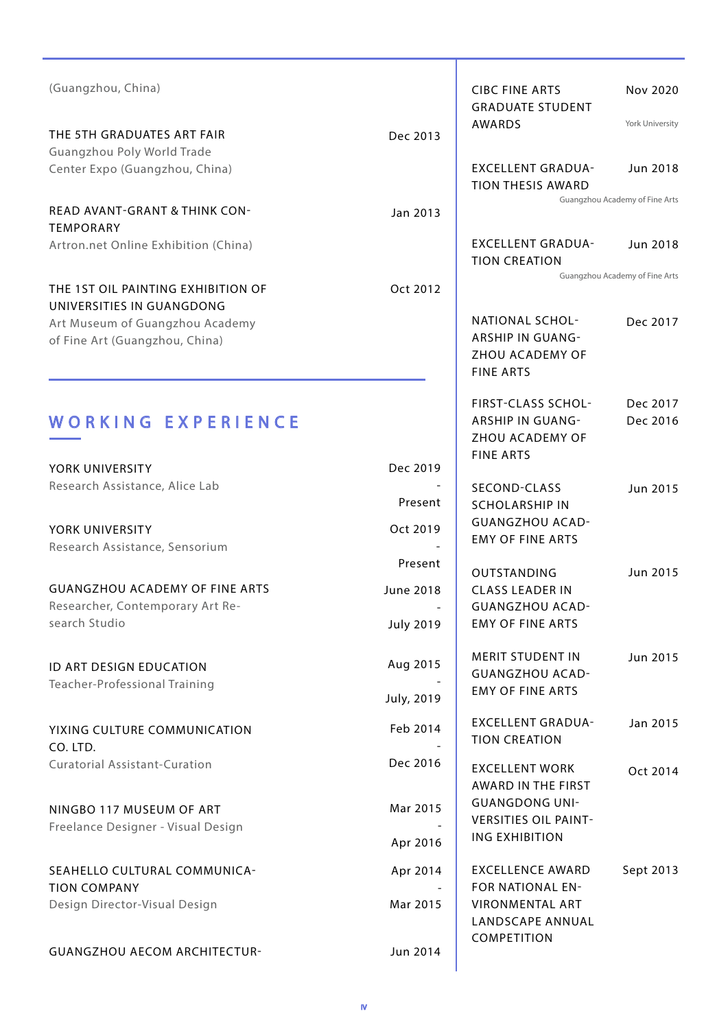| (Guangzhou, China)                                                                         |                                      | <b>CIBC FINE ARTS</b><br><b>GRADUATE STUDENT</b>                                            | Nov 2020                       |
|--------------------------------------------------------------------------------------------|--------------------------------------|---------------------------------------------------------------------------------------------|--------------------------------|
| THE 5TH GRADUATES ART FAIR<br>Guangzhou Poly World Trade                                   | Dec 2013                             | AWARDS                                                                                      | York University                |
| Center Expo (Guangzhou, China)                                                             |                                      | <b>EXCELLENT GRADUA-</b><br><b>TION THESIS AWARD</b>                                        | Jun 2018                       |
| <b>READ AVANT-GRANT &amp; THINK CON-</b><br><b>TEMPORARY</b>                               | Jan 2013                             |                                                                                             | Guangzhou Academy of Fine Arts |
| Artron.net Online Exhibition (China)                                                       |                                      | <b>EXCELLENT GRADUA-</b><br><b>TION CREATION</b>                                            | Jun 2018                       |
| THE 1ST OIL PAINTING EXHIBITION OF<br>UNIVERSITIES IN GUANGDONG                            | Oct 2012                             |                                                                                             | Guangzhou Academy of Fine Arts |
| Art Museum of Guangzhou Academy<br>of Fine Art (Guangzhou, China)                          |                                      | <b>NATIONAL SCHOL-</b><br><b>ARSHIP IN GUANG-</b><br>ZHOU ACADEMY OF<br><b>FINE ARTS</b>    | Dec 2017                       |
| WORKING EXPERIENCE<br>YORK UNIVERSITY                                                      | Dec 2019                             | <b>FIRST-CLASS SCHOL-</b><br><b>ARSHIP IN GUANG-</b><br>ZHOU ACADEMY OF<br><b>FINE ARTS</b> | Dec 2017<br>Dec 2016           |
| Research Assistance, Alice Lab                                                             | Present                              | SECOND-CLASS<br><b>SCHOLARSHIP IN</b><br><b>GUANGZHOU ACAD-</b>                             | Jun 2015                       |
| YORK UNIVERSITY<br>Research Assistance, Sensorium                                          | Oct 2019<br>Present                  | <b>EMY OF FINE ARTS</b>                                                                     |                                |
| <b>GUANGZHOU ACADEMY OF FINE ARTS</b><br>Researcher, Contemporary Art Re-<br>search Studio | <b>June 2018</b><br><b>July 2019</b> | OUTSTANDING<br><b>CLASS LEADER IN</b><br><b>GUANGZHOU ACAD-</b><br><b>EMY OF FINE ARTS</b>  | Jun 2015                       |
| ID ART DESIGN EDUCATION<br><b>Teacher-Professional Training</b>                            | Aug 2015<br>July, 2019               | <b>MERIT STUDENT IN</b><br><b>GUANGZHOU ACAD-</b><br><b>EMY OF FINE ARTS</b>                | Jun 2015                       |
| YIXING CULTURE COMMUNICATION<br>CO. LTD.                                                   | Feb 2014                             | <b>EXCELLENT GRADUA-</b><br><b>TION CREATION</b>                                            | Jan 2015                       |
| <b>Curatorial Assistant-Curation</b>                                                       | Dec 2016                             | <b>EXCELLENT WORK</b><br>AWARD IN THE FIRST                                                 | Oct 2014                       |
| NINGBO 117 MUSEUM OF ART<br>Freelance Designer - Visual Design                             | Mar 2015<br>Apr 2016                 | <b>GUANGDONG UNI-</b><br><b>VERSITIES OIL PAINT-</b><br><b>ING EXHIBITION</b>               |                                |
| SEAHELLO CULTURAL COMMUNICA-<br><b>TION COMPANY</b><br>Design Director-Visual Design       | Apr 2014<br>Mar 2015                 | <b>EXCELLENCE AWARD</b><br>FOR NATIONAL EN-<br><b>VIRONMENTAL ART</b><br>LANDSCAPE ANNUAL   | Sept 2013                      |
| <b>GUANGZHOU AECOM ARCHITECTUR-</b>                                                        | Jun 2014                             | COMPETITION                                                                                 |                                |